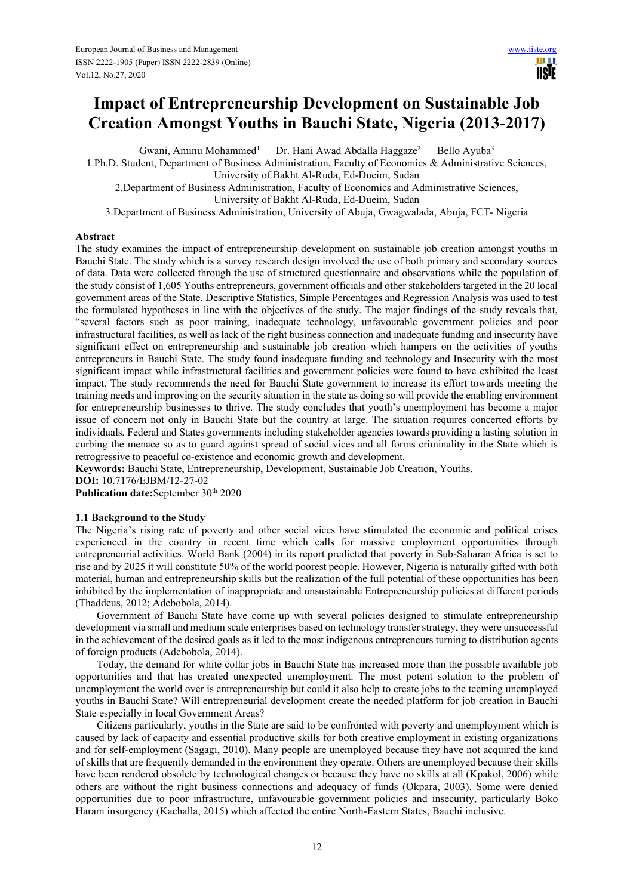# **Impact of Entrepreneurship Development on Sustainable Job Creation Amongst Youths in Bauchi State, Nigeria (2013-2017)**

Gwani, Aminu Mohammed<sup>1</sup> Dr. Hani Awad Abdalla Haggaze<sup>2</sup> Bello Ayuba<sup>3</sup>

1.Ph.D. Student, Department of Business Administration, Faculty of Economics & Administrative Sciences, University of Bakht Al-Ruda, Ed-Dueim, Sudan

2.Department of Business Administration, Faculty of Economics and Administrative Sciences, University of Bakht Al-Ruda, Ed-Dueim, Sudan

3.Department of Business Administration, University of Abuja, Gwagwalada, Abuja, FCT- Nigeria

# **Abstract**

The study examines the impact of entrepreneurship development on sustainable job creation amongst youths in Bauchi State. The study which is a survey research design involved the use of both primary and secondary sources of data. Data were collected through the use of structured questionnaire and observations while the population of the study consist of 1,605 Youths entrepreneurs, government officials and other stakeholders targeted in the 20 local government areas of the State. Descriptive Statistics, Simple Percentages and Regression Analysis was used to test the formulated hypotheses in line with the objectives of the study. The major findings of the study reveals that, "several factors such as poor training, inadequate technology, unfavourable government policies and poor infrastructural facilities, as well as lack of the right business connection and inadequate funding and insecurity have significant effect on entrepreneurship and sustainable job creation which hampers on the activities of youths entrepreneurs in Bauchi State. The study found inadequate funding and technology and Insecurity with the most significant impact while infrastructural facilities and government policies were found to have exhibited the least impact. The study recommends the need for Bauchi State government to increase its effort towards meeting the training needs and improving on the security situation in the state as doing so will provide the enabling environment for entrepreneurship businesses to thrive. The study concludes that youth's unemployment has become a major issue of concern not only in Bauchi State but the country at large. The situation requires concerted efforts by individuals, Federal and States governments including stakeholder agencies towards providing a lasting solution in curbing the menace so as to guard against spread of social vices and all forms criminality in the State which is retrogressive to peaceful co-existence and economic growth and development.

**Keywords:** Bauchi State, Entrepreneurship, Development, Sustainable Job Creation, Youths. **DOI:** 10.7176/EJBM/12-27-02

Publication date:September 30<sup>th</sup> 2020

# **1.1 Background to the Study**

The Nigeria's rising rate of poverty and other social vices have stimulated the economic and political crises experienced in the country in recent time which calls for massive employment opportunities through entrepreneurial activities. World Bank (2004) in its report predicted that poverty in Sub-Saharan Africa is set to rise and by 2025 it will constitute 50% of the world poorest people. However, Nigeria is naturally gifted with both material, human and entrepreneurship skills but the realization of the full potential of these opportunities has been inhibited by the implementation of inappropriate and unsustainable Entrepreneurship policies at different periods (Thaddeus, 2012; Adebobola, 2014).

Government of Bauchi State have come up with several policies designed to stimulate entrepreneurship development via small and medium scale enterprises based on technology transfer strategy, they were unsuccessful in the achievement of the desired goals as it led to the most indigenous entrepreneurs turning to distribution agents of foreign products (Adebobola, 2014).

Today, the demand for white collar jobs in Bauchi State has increased more than the possible available job opportunities and that has created unexpected unemployment. The most potent solution to the problem of unemployment the world over is entrepreneurship but could it also help to create jobs to the teeming unemployed youths in Bauchi State? Will entrepreneurial development create the needed platform for job creation in Bauchi State especially in local Government Areas?

Citizens particularly, youths in the State are said to be confronted with poverty and unemployment which is caused by lack of capacity and essential productive skills for both creative employment in existing organizations and for self-employment (Sagagi, 2010). Many people are unemployed because they have not acquired the kind of skills that are frequently demanded in the environment they operate. Others are unemployed because their skills have been rendered obsolete by technological changes or because they have no skills at all (Kpakol, 2006) while others are without the right business connections and adequacy of funds (Okpara, 2003). Some were denied opportunities due to poor infrastructure, unfavourable government policies and insecurity, particularly Boko Haram insurgency (Kachalla, 2015) which affected the entire North-Eastern States, Bauchi inclusive.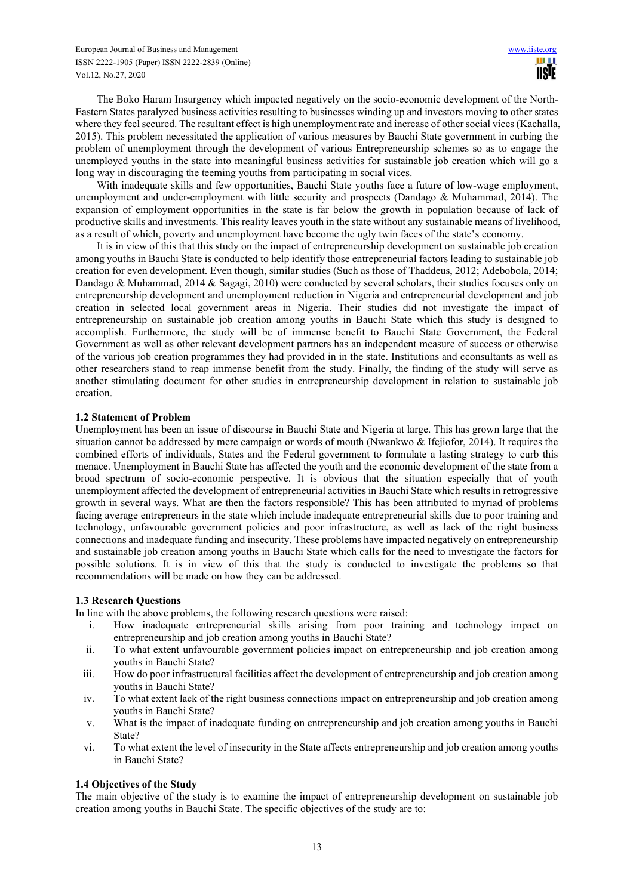The Boko Haram Insurgency which impacted negatively on the socio-economic development of the North-Eastern States paralyzed business activities resulting to businesses winding up and investors moving to other states where they feel secured. The resultant effect is high unemployment rate and increase of other social vices (Kachalla, 2015). This problem necessitated the application of various measures by Bauchi State government in curbing the problem of unemployment through the development of various Entrepreneurship schemes so as to engage the unemployed youths in the state into meaningful business activities for sustainable job creation which will go a long way in discouraging the teeming youths from participating in social vices.

With inadequate skills and few opportunities, Bauchi State youths face a future of low-wage employment, unemployment and under-employment with little security and prospects (Dandago & Muhammad, 2014). The expansion of employment opportunities in the state is far below the growth in population because of lack of productive skills and investments. This reality leaves youth in the state without any sustainable means of livelihood, as a result of which, poverty and unemployment have become the ugly twin faces of the state's economy.

It is in view of this that this study on the impact of entrepreneurship development on sustainable job creation among youths in Bauchi State is conducted to help identify those entrepreneurial factors leading to sustainable job creation for even development. Even though, similar studies (Such as those of Thaddeus, 2012; Adebobola, 2014; Dandago & Muhammad, 2014 & Sagagi, 2010) were conducted by several scholars, their studies focuses only on entrepreneurship development and unemployment reduction in Nigeria and entrepreneurial development and job creation in selected local government areas in Nigeria. Their studies did not investigate the impact of entrepreneurship on sustainable job creation among youths in Bauchi State which this study is designed to accomplish. Furthermore, the study will be of immense benefit to Bauchi State Government, the Federal Government as well as other relevant development partners has an independent measure of success or otherwise of the various job creation programmes they had provided in in the state. Institutions and cconsultants as well as other researchers stand to reap immense benefit from the study. Finally, the finding of the study will serve as another stimulating document for other studies in entrepreneurship development in relation to sustainable job creation.

# **1.2 Statement of Problem**

Unemployment has been an issue of discourse in Bauchi State and Nigeria at large. This has grown large that the situation cannot be addressed by mere campaign or words of mouth (Nwankwo & Ifejiofor, 2014). It requires the combined efforts of individuals, States and the Federal government to formulate a lasting strategy to curb this menace. Unemployment in Bauchi State has affected the youth and the economic development of the state from a broad spectrum of socio-economic perspective. It is obvious that the situation especially that of youth unemployment affected the development of entrepreneurial activities in Bauchi State which results in retrogressive growth in several ways. What are then the factors responsible? This has been attributed to myriad of problems facing average entrepreneurs in the state which include inadequate entrepreneurial skills due to poor training and technology, unfavourable government policies and poor infrastructure, as well as lack of the right business connections and inadequate funding and insecurity. These problems have impacted negatively on entrepreneurship and sustainable job creation among youths in Bauchi State which calls for the need to investigate the factors for possible solutions. It is in view of this that the study is conducted to investigate the problems so that recommendations will be made on how they can be addressed.

# **1.3 Research Questions**

In line with the above problems, the following research questions were raised:

- i. How inadequate entrepreneurial skills arising from poor training and technology impact on entrepreneurship and job creation among youths in Bauchi State?
- ii. To what extent unfavourable government policies impact on entrepreneurship and job creation among youths in Bauchi State?
- iii. How do poor infrastructural facilities affect the development of entrepreneurship and job creation among youths in Bauchi State?
- iv. To what extent lack of the right business connections impact on entrepreneurship and job creation among youths in Bauchi State?
- v. What is the impact of inadequate funding on entrepreneurship and job creation among youths in Bauchi State?
- vi. To what extent the level of insecurity in the State affects entrepreneurship and job creation among youths in Bauchi State?

# **1.4 Objectives of the Study**

The main objective of the study is to examine the impact of entrepreneurship development on sustainable job creation among youths in Bauchi State. The specific objectives of the study are to: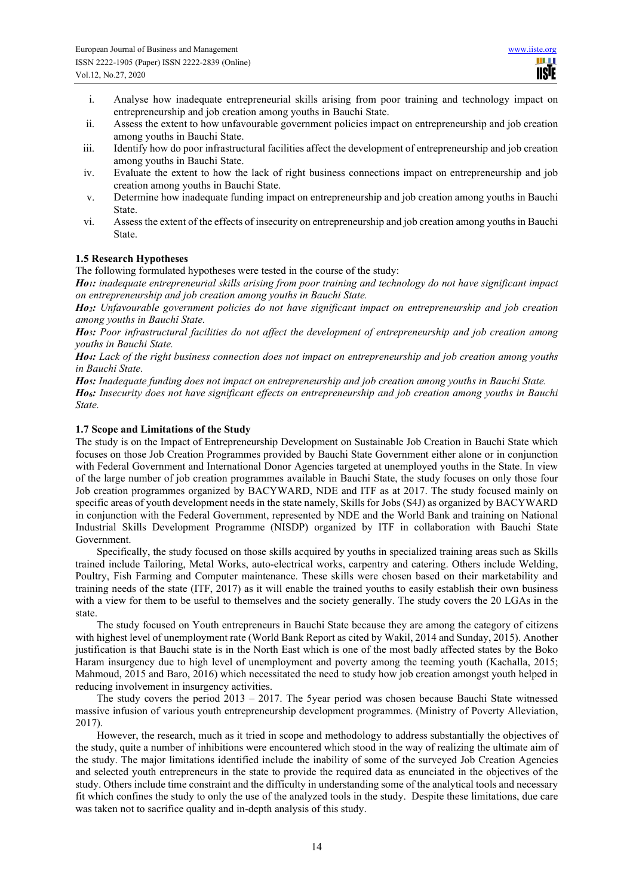- i. Analyse how inadequate entrepreneurial skills arising from poor training and technology impact on entrepreneurship and job creation among youths in Bauchi State.
- ii. Assess the extent to how unfavourable government policies impact on entrepreneurship and job creation among youths in Bauchi State.
- iii. Identify how do poor infrastructural facilities affect the development of entrepreneurship and job creation among youths in Bauchi State.
- iv. Evaluate the extent to how the lack of right business connections impact on entrepreneurship and job creation among youths in Bauchi State.
- v. Determine how inadequate funding impact on entrepreneurship and job creation among youths in Bauchi State.
- vi. Assess the extent of the effects of insecurity on entrepreneurship and job creation among youths in Bauchi State.

# **1.5 Research Hypotheses**

The following formulated hypotheses were tested in the course of the study:

*Ho1: inadequate entrepreneurial skills arising from poor training and technology do not have significant impact on entrepreneurship and job creation among youths in Bauchi State.* 

*Ho2: Unfavourable government policies do not have significant impact on entrepreneurship and job creation among youths in Bauchi State.* 

*Ho3: Poor infrastructural facilities do not affect the development of entrepreneurship and job creation among youths in Bauchi State.* 

*Ho4: Lack of the right business connection does not impact on entrepreneurship and job creation among youths in Bauchi State.* 

*Ho5: Inadequate funding does not impact on entrepreneurship and job creation among youths in Bauchi State.*

*Ho6: Insecurity does not have significant effects on entrepreneurship and job creation among youths in Bauchi State.* 

# **1.7 Scope and Limitations of the Study**

The study is on the Impact of Entrepreneurship Development on Sustainable Job Creation in Bauchi State which focuses on those Job Creation Programmes provided by Bauchi State Government either alone or in conjunction with Federal Government and International Donor Agencies targeted at unemployed youths in the State. In view of the large number of job creation programmes available in Bauchi State, the study focuses on only those four Job creation programmes organized by BACYWARD, NDE and ITF as at 2017. The study focused mainly on specific areas of youth development needs in the state namely, Skills for Jobs (S4J) as organized by BACYWARD in conjunction with the Federal Government, represented by NDE and the World Bank and training on National Industrial Skills Development Programme (NISDP) organized by ITF in collaboration with Bauchi State Government.

Specifically, the study focused on those skills acquired by youths in specialized training areas such as Skills trained include Tailoring, Metal Works, auto-electrical works, carpentry and catering. Others include Welding, Poultry, Fish Farming and Computer maintenance. These skills were chosen based on their marketability and training needs of the state (ITF, 2017) as it will enable the trained youths to easily establish their own business with a view for them to be useful to themselves and the society generally. The study covers the 20 LGAs in the state.

The study focused on Youth entrepreneurs in Bauchi State because they are among the category of citizens with highest level of unemployment rate (World Bank Report as cited by Wakil, 2014 and Sunday, 2015). Another justification is that Bauchi state is in the North East which is one of the most badly affected states by the Boko Haram insurgency due to high level of unemployment and poverty among the teeming youth (Kachalla, 2015; Mahmoud, 2015 and Baro, 2016) which necessitated the need to study how job creation amongst youth helped in reducing involvement in insurgency activities.

The study covers the period  $2013 - 2017$ . The 5year period was chosen because Bauchi State witnessed massive infusion of various youth entrepreneurship development programmes. (Ministry of Poverty Alleviation, 2017).

However, the research, much as it tried in scope and methodology to address substantially the objectives of the study, quite a number of inhibitions were encountered which stood in the way of realizing the ultimate aim of the study. The major limitations identified include the inability of some of the surveyed Job Creation Agencies and selected youth entrepreneurs in the state to provide the required data as enunciated in the objectives of the study. Others include time constraint and the difficulty in understanding some of the analytical tools and necessary fit which confines the study to only the use of the analyzed tools in the study. Despite these limitations, due care was taken not to sacrifice quality and in-depth analysis of this study.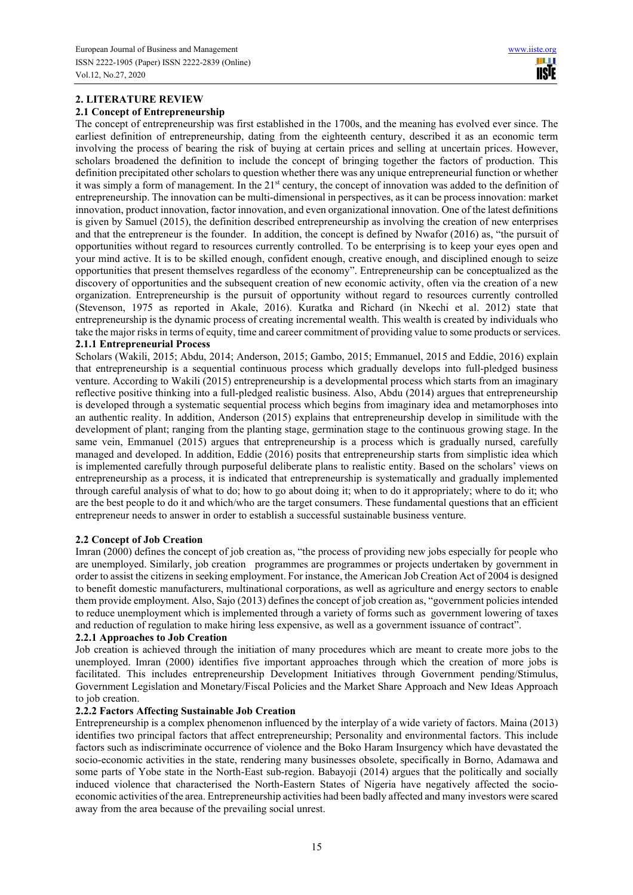# **2. LITERATURE REVIEW**

### **2.1 Concept of Entrepreneurship**

The concept of entrepreneurship was first established in the 1700s, and the meaning has evolved ever since. The earliest definition of entrepreneurship, dating from the eighteenth century, described it as an economic term involving the process of bearing the risk of buying at certain prices and selling at uncertain prices. However, scholars broadened the definition to include the concept of bringing together the factors of production. This definition precipitated other scholars to question whether there was any unique entrepreneurial function or whether it was simply a form of management. In the 21<sup>st</sup> century, the concept of innovation was added to the definition of entrepreneurship. The innovation can be multi-dimensional in perspectives, as it can be process innovation: market innovation, product innovation, factor innovation, and even organizational innovation. One of the latest definitions is given by Samuel (2015), the definition described entrepreneurship as involving the creation of new enterprises and that the entrepreneur is the founder. In addition, the concept is defined by Nwafor (2016) as, "the pursuit of opportunities without regard to resources currently controlled. To be enterprising is to keep your eyes open and your mind active. It is to be skilled enough, confident enough, creative enough, and disciplined enough to seize opportunities that present themselves regardless of the economy". Entrepreneurship can be conceptualized as the discovery of opportunities and the subsequent creation of new economic activity, often via the creation of a new organization. Entrepreneurship is the pursuit of opportunity without regard to resources currently controlled (Stevenson, 1975 as reported in Akale, 2016). Kuratka and Richard (in Nkechi et al. 2012) state that entrepreneurship is the dynamic process of creating incremental wealth. This wealth is created by individuals who take the major risks in terms of equity, time and career commitment of providing value to some products or services. **2.1.1 Entrepreneurial Process** 

Scholars (Wakili, 2015; Abdu, 2014; Anderson, 2015; Gambo, 2015; Emmanuel, 2015 and Eddie, 2016) explain that entrepreneurship is a sequential continuous process which gradually develops into full-pledged business venture. According to Wakili (2015) entrepreneurship is a developmental process which starts from an imaginary reflective positive thinking into a full-pledged realistic business. Also, Abdu (2014) argues that entrepreneurship is developed through a systematic sequential process which begins from imaginary idea and metamorphoses into an authentic reality. In addition, Anderson (2015) explains that entrepreneurship develop in similitude with the development of plant; ranging from the planting stage, germination stage to the continuous growing stage. In the same vein, Emmanuel (2015) argues that entrepreneurship is a process which is gradually nursed, carefully managed and developed. In addition, Eddie (2016) posits that entrepreneurship starts from simplistic idea which is implemented carefully through purposeful deliberate plans to realistic entity. Based on the scholars' views on entrepreneurship as a process, it is indicated that entrepreneurship is systematically and gradually implemented through careful analysis of what to do; how to go about doing it; when to do it appropriately; where to do it; who are the best people to do it and which/who are the target consumers. These fundamental questions that an efficient entrepreneur needs to answer in order to establish a successful sustainable business venture.

# **2.2 Concept of Job Creation**

Imran (2000) defines the concept of job creation as, "the process of providing new jobs especially for people who are unemployed. Similarly, job creation programmes are programmes or projects undertaken by government in order to assist the citizens in seeking employment. For instance, the American Job Creation Act of 2004 is designed to benefit domestic manufacturers, multinational corporations, as well as agriculture and energy sectors to enable them provide employment. Also, Sajo (2013) defines the concept of job creation as, "government policies intended to reduce unemployment which is implemented through a variety of forms such as government lowering of taxes and reduction of regulation to make hiring less expensive, as well as a government issuance of contract".

# **2.2.1 Approaches to Job Creation**

Job creation is achieved through the initiation of many procedures which are meant to create more jobs to the unemployed. Imran (2000) identifies five important approaches through which the creation of more jobs is facilitated. This includes entrepreneurship Development Initiatives through Government pending/Stimulus, Government Legislation and Monetary/Fiscal Policies and the Market Share Approach and New Ideas Approach to job creation.

# **2.2.2 Factors Affecting Sustainable Job Creation**

Entrepreneurship is a complex phenomenon influenced by the interplay of a wide variety of factors. Maina (2013) identifies two principal factors that affect entrepreneurship; Personality and environmental factors. This include factors such as indiscriminate occurrence of violence and the Boko Haram Insurgency which have devastated the socio-economic activities in the state, rendering many businesses obsolete, specifically in Borno, Adamawa and some parts of Yobe state in the North-East sub-region. Babayoji (2014) argues that the politically and socially induced violence that characterised the North-Eastern States of Nigeria have negatively affected the socioeconomic activities of the area. Entrepreneurship activities had been badly affected and many investors were scared away from the area because of the prevailing social unrest.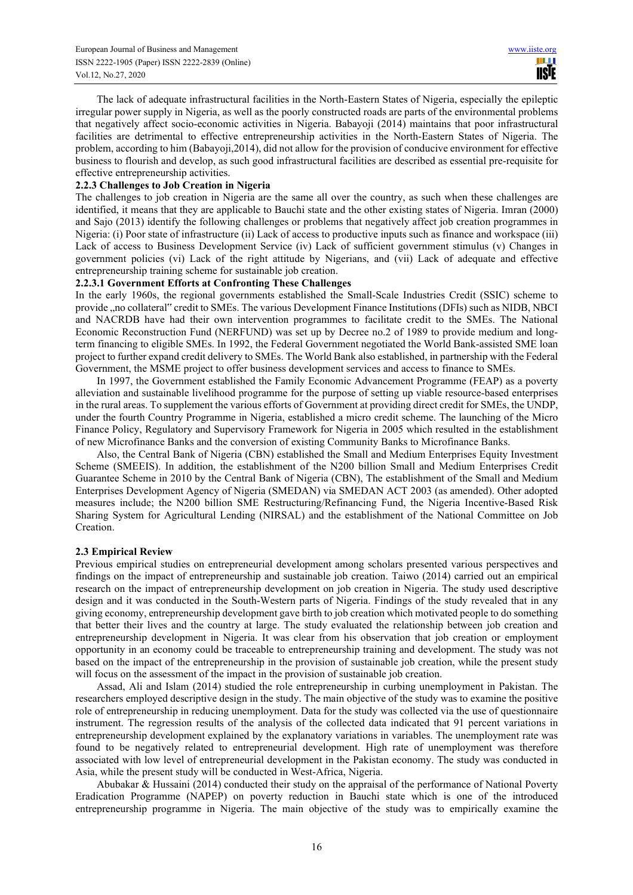The lack of adequate infrastructural facilities in the North-Eastern States of Nigeria, especially the epileptic irregular power supply in Nigeria, as well as the poorly constructed roads are parts of the environmental problems that negatively affect socio-economic activities in Nigeria. Babayoji (2014) maintains that poor infrastructural facilities are detrimental to effective entrepreneurship activities in the North-Eastern States of Nigeria. The problem, according to him (Babayoji,2014), did not allow for the provision of conducive environment for effective business to flourish and develop, as such good infrastructural facilities are described as essential pre-requisite for effective entrepreneurship activities.

### **2.2.3 Challenges to Job Creation in Nigeria**

The challenges to job creation in Nigeria are the same all over the country, as such when these challenges are identified, it means that they are applicable to Bauchi state and the other existing states of Nigeria. Imran (2000) and Sajo (2013) identify the following challenges or problems that negatively affect job creation programmes in Nigeria: (i) Poor state of infrastructure (ii) Lack of access to productive inputs such as finance and workspace (iii) Lack of access to Business Development Service (iv) Lack of sufficient government stimulus (v) Changes in government policies (vi) Lack of the right attitude by Nigerians, and (vii) Lack of adequate and effective entrepreneurship training scheme for sustainable job creation.

### **2.2.3.1 Government Efforts at Confronting These Challenges**

In the early 1960s, the regional governments established the Small-Scale Industries Credit (SSIC) scheme to provide , no collateral" credit to SMEs. The various Development Finance Institutions (DFIs) such as NIDB, NBCI and NACRDB have had their own intervention programmes to facilitate credit to the SMEs. The National Economic Reconstruction Fund (NERFUND) was set up by Decree no.2 of 1989 to provide medium and longterm financing to eligible SMEs. In 1992, the Federal Government negotiated the World Bank-assisted SME loan project to further expand credit delivery to SMEs. The World Bank also established, in partnership with the Federal Government, the MSME project to offer business development services and access to finance to SMEs.

In 1997, the Government established the Family Economic Advancement Programme (FEAP) as a poverty alleviation and sustainable livelihood programme for the purpose of setting up viable resource-based enterprises in the rural areas. To supplement the various efforts of Government at providing direct credit for SMEs, the UNDP, under the fourth Country Programme in Nigeria, established a micro credit scheme. The launching of the Micro Finance Policy, Regulatory and Supervisory Framework for Nigeria in 2005 which resulted in the establishment of new Microfinance Banks and the conversion of existing Community Banks to Microfinance Banks.

Also, the Central Bank of Nigeria (CBN) established the Small and Medium Enterprises Equity Investment Scheme (SMEEIS). In addition, the establishment of the N200 billion Small and Medium Enterprises Credit Guarantee Scheme in 2010 by the Central Bank of Nigeria (CBN), The establishment of the Small and Medium Enterprises Development Agency of Nigeria (SMEDAN) via SMEDAN ACT 2003 (as amended). Other adopted measures include; the N200 billion SME Restructuring/Refinancing Fund, the Nigeria Incentive-Based Risk Sharing System for Agricultural Lending (NIRSAL) and the establishment of the National Committee on Job Creation.

# **2.3 Empirical Review**

Previous empirical studies on entrepreneurial development among scholars presented various perspectives and findings on the impact of entrepreneurship and sustainable job creation. Taiwo (2014) carried out an empirical research on the impact of entrepreneurship development on job creation in Nigeria. The study used descriptive design and it was conducted in the South-Western parts of Nigeria. Findings of the study revealed that in any giving economy, entrepreneurship development gave birth to job creation which motivated people to do something that better their lives and the country at large. The study evaluated the relationship between job creation and entrepreneurship development in Nigeria. It was clear from his observation that job creation or employment opportunity in an economy could be traceable to entrepreneurship training and development. The study was not based on the impact of the entrepreneurship in the provision of sustainable job creation, while the present study will focus on the assessment of the impact in the provision of sustainable job creation.

Assad, Ali and Islam (2014) studied the role entrepreneurship in curbing unemployment in Pakistan. The researchers employed descriptive design in the study. The main objective of the study was to examine the positive role of entrepreneurship in reducing unemployment. Data for the study was collected via the use of questionnaire instrument. The regression results of the analysis of the collected data indicated that 91 percent variations in entrepreneurship development explained by the explanatory variations in variables. The unemployment rate was found to be negatively related to entrepreneurial development. High rate of unemployment was therefore associated with low level of entrepreneurial development in the Pakistan economy. The study was conducted in Asia, while the present study will be conducted in West-Africa, Nigeria.

Abubakar & Hussaini (2014) conducted their study on the appraisal of the performance of National Poverty Eradication Programme (NAPEP) on poverty reduction in Bauchi state which is one of the introduced entrepreneurship programme in Nigeria. The main objective of the study was to empirically examine the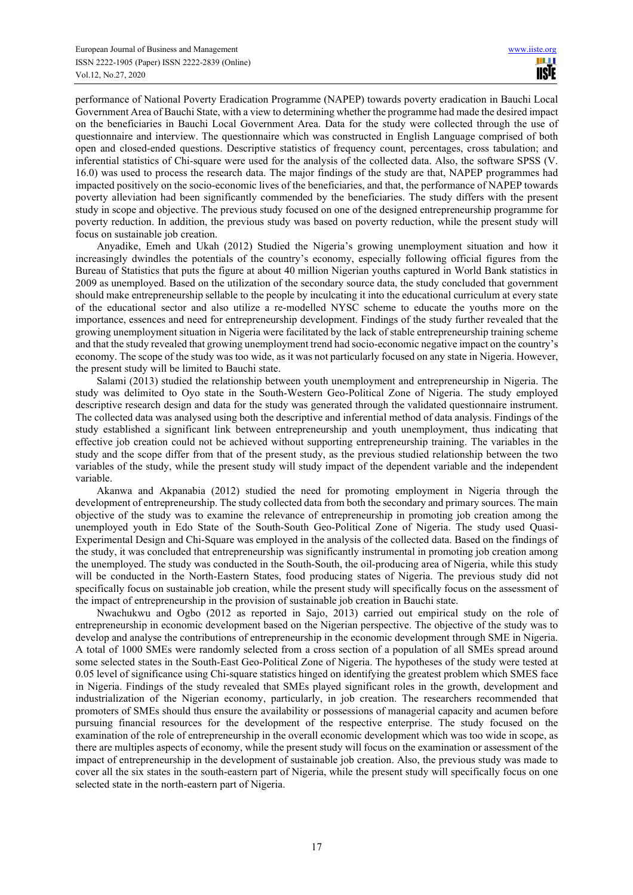performance of National Poverty Eradication Programme (NAPEP) towards poverty eradication in Bauchi Local Government Area of Bauchi State, with a view to determining whether the programme had made the desired impact on the beneficiaries in Bauchi Local Government Area. Data for the study were collected through the use of questionnaire and interview. The questionnaire which was constructed in English Language comprised of both open and closed-ended questions. Descriptive statistics of frequency count, percentages, cross tabulation; and inferential statistics of Chi-square were used for the analysis of the collected data. Also, the software SPSS (V. 16.0) was used to process the research data. The major findings of the study are that, NAPEP programmes had impacted positively on the socio-economic lives of the beneficiaries, and that, the performance of NAPEP towards poverty alleviation had been significantly commended by the beneficiaries. The study differs with the present study in scope and objective. The previous study focused on one of the designed entrepreneurship programme for poverty reduction. In addition, the previous study was based on poverty reduction, while the present study will focus on sustainable job creation.

Anyadike, Emeh and Ukah (2012) Studied the Nigeria's growing unemployment situation and how it increasingly dwindles the potentials of the country's economy, especially following official figures from the Bureau of Statistics that puts the figure at about 40 million Nigerian youths captured in World Bank statistics in 2009 as unemployed. Based on the utilization of the secondary source data, the study concluded that government should make entrepreneurship sellable to the people by inculcating it into the educational curriculum at every state of the educational sector and also utilize a re-modelled NYSC scheme to educate the youths more on the importance, essences and need for entrepreneurship development. Findings of the study further revealed that the growing unemployment situation in Nigeria were facilitated by the lack of stable entrepreneurship training scheme and that the study revealed that growing unemployment trend had socio-economic negative impact on the country's economy. The scope of the study was too wide, as it was not particularly focused on any state in Nigeria. However, the present study will be limited to Bauchi state.

Salami (2013) studied the relationship between youth unemployment and entrepreneurship in Nigeria. The study was delimited to Oyo state in the South-Western Geo-Political Zone of Nigeria. The study employed descriptive research design and data for the study was generated through the validated questionnaire instrument. The collected data was analysed using both the descriptive and inferential method of data analysis. Findings of the study established a significant link between entrepreneurship and youth unemployment, thus indicating that effective job creation could not be achieved without supporting entrepreneurship training. The variables in the study and the scope differ from that of the present study, as the previous studied relationship between the two variables of the study, while the present study will study impact of the dependent variable and the independent variable.

Akanwa and Akpanabia (2012) studied the need for promoting employment in Nigeria through the development of entrepreneurship. The study collected data from both the secondary and primary sources. The main objective of the study was to examine the relevance of entrepreneurship in promoting job creation among the unemployed youth in Edo State of the South-South Geo-Political Zone of Nigeria. The study used Quasi-Experimental Design and Chi-Square was employed in the analysis of the collected data. Based on the findings of the study, it was concluded that entrepreneurship was significantly instrumental in promoting job creation among the unemployed. The study was conducted in the South-South, the oil-producing area of Nigeria, while this study will be conducted in the North-Eastern States, food producing states of Nigeria. The previous study did not specifically focus on sustainable job creation, while the present study will specifically focus on the assessment of the impact of entrepreneurship in the provision of sustainable job creation in Bauchi state.

Nwachukwu and Ogbo (2012 as reported in Sajo, 2013) carried out empirical study on the role of entrepreneurship in economic development based on the Nigerian perspective. The objective of the study was to develop and analyse the contributions of entrepreneurship in the economic development through SME in Nigeria. A total of 1000 SMEs were randomly selected from a cross section of a population of all SMEs spread around some selected states in the South-East Geo-Political Zone of Nigeria. The hypotheses of the study were tested at 0.05 level of significance using Chi-square statistics hinged on identifying the greatest problem which SMES face in Nigeria. Findings of the study revealed that SMEs played significant roles in the growth, development and industrialization of the Nigerian economy, particularly, in job creation. The researchers recommended that promoters of SMEs should thus ensure the availability or possessions of managerial capacity and acumen before pursuing financial resources for the development of the respective enterprise. The study focused on the examination of the role of entrepreneurship in the overall economic development which was too wide in scope, as there are multiples aspects of economy, while the present study will focus on the examination or assessment of the impact of entrepreneurship in the development of sustainable job creation. Also, the previous study was made to cover all the six states in the south-eastern part of Nigeria, while the present study will specifically focus on one selected state in the north-eastern part of Nigeria.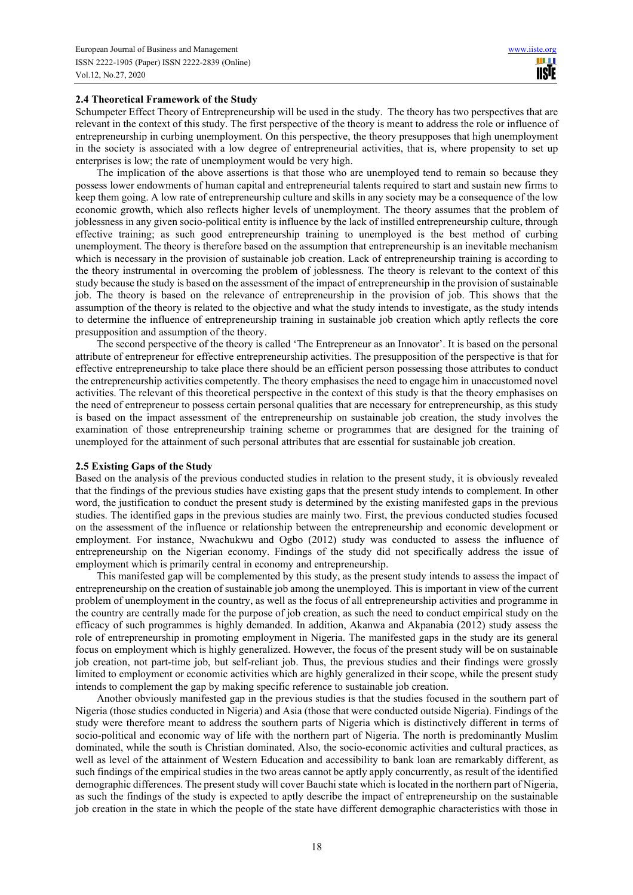### **2.4 Theoretical Framework of the Study**

Schumpeter Effect Theory of Entrepreneurship will be used in the study. The theory has two perspectives that are relevant in the context of this study. The first perspective of the theory is meant to address the role or influence of entrepreneurship in curbing unemployment. On this perspective, the theory presupposes that high unemployment in the society is associated with a low degree of entrepreneurial activities, that is, where propensity to set up enterprises is low; the rate of unemployment would be very high.

The implication of the above assertions is that those who are unemployed tend to remain so because they possess lower endowments of human capital and entrepreneurial talents required to start and sustain new firms to keep them going. A low rate of entrepreneurship culture and skills in any society may be a consequence of the low economic growth, which also reflects higher levels of unemployment. The theory assumes that the problem of joblessness in any given socio-political entity is influence by the lack of instilled entrepreneurship culture, through effective training; as such good entrepreneurship training to unemployed is the best method of curbing unemployment. The theory is therefore based on the assumption that entrepreneurship is an inevitable mechanism which is necessary in the provision of sustainable job creation. Lack of entrepreneurship training is according to the theory instrumental in overcoming the problem of joblessness. The theory is relevant to the context of this study because the study is based on the assessment of the impact of entrepreneurship in the provision of sustainable job. The theory is based on the relevance of entrepreneurship in the provision of job. This shows that the assumption of the theory is related to the objective and what the study intends to investigate, as the study intends to determine the influence of entrepreneurship training in sustainable job creation which aptly reflects the core presupposition and assumption of the theory.

The second perspective of the theory is called 'The Entrepreneur as an Innovator'. It is based on the personal attribute of entrepreneur for effective entrepreneurship activities. The presupposition of the perspective is that for effective entrepreneurship to take place there should be an efficient person possessing those attributes to conduct the entrepreneurship activities competently. The theory emphasises the need to engage him in unaccustomed novel activities. The relevant of this theoretical perspective in the context of this study is that the theory emphasises on the need of entrepreneur to possess certain personal qualities that are necessary for entrepreneurship, as this study is based on the impact assessment of the entrepreneurship on sustainable job creation, the study involves the examination of those entrepreneurship training scheme or programmes that are designed for the training of unemployed for the attainment of such personal attributes that are essential for sustainable job creation.

#### **2.5 Existing Gaps of the Study**

Based on the analysis of the previous conducted studies in relation to the present study, it is obviously revealed that the findings of the previous studies have existing gaps that the present study intends to complement. In other word, the justification to conduct the present study is determined by the existing manifested gaps in the previous studies. The identified gaps in the previous studies are mainly two. First, the previous conducted studies focused on the assessment of the influence or relationship between the entrepreneurship and economic development or employment. For instance, Nwachukwu and Ogbo (2012) study was conducted to assess the influence of entrepreneurship on the Nigerian economy. Findings of the study did not specifically address the issue of employment which is primarily central in economy and entrepreneurship.

This manifested gap will be complemented by this study, as the present study intends to assess the impact of entrepreneurship on the creation of sustainable job among the unemployed. This is important in view of the current problem of unemployment in the country, as well as the focus of all entrepreneurship activities and programme in the country are centrally made for the purpose of job creation, as such the need to conduct empirical study on the efficacy of such programmes is highly demanded. In addition, Akanwa and Akpanabia (2012) study assess the role of entrepreneurship in promoting employment in Nigeria. The manifested gaps in the study are its general focus on employment which is highly generalized. However, the focus of the present study will be on sustainable job creation, not part-time job, but self-reliant job. Thus, the previous studies and their findings were grossly limited to employment or economic activities which are highly generalized in their scope, while the present study intends to complement the gap by making specific reference to sustainable job creation.

Another obviously manifested gap in the previous studies is that the studies focused in the southern part of Nigeria (those studies conducted in Nigeria) and Asia (those that were conducted outside Nigeria). Findings of the study were therefore meant to address the southern parts of Nigeria which is distinctively different in terms of socio-political and economic way of life with the northern part of Nigeria. The north is predominantly Muslim dominated, while the south is Christian dominated. Also, the socio-economic activities and cultural practices, as well as level of the attainment of Western Education and accessibility to bank loan are remarkably different, as such findings of the empirical studies in the two areas cannot be aptly apply concurrently, as result of the identified demographic differences. The present study will cover Bauchi state which is located in the northern part of Nigeria, as such the findings of the study is expected to aptly describe the impact of entrepreneurship on the sustainable job creation in the state in which the people of the state have different demographic characteristics with those in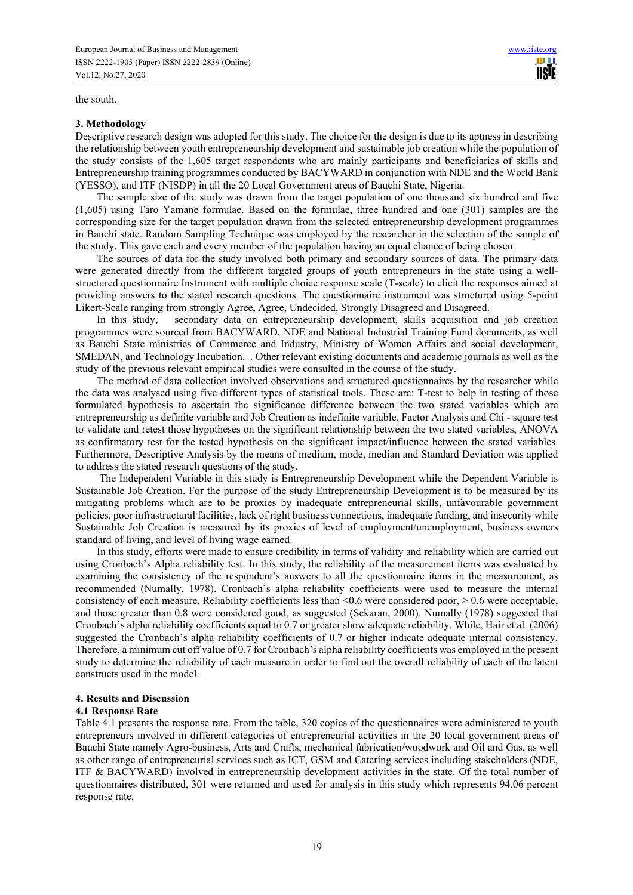the south.

#### **3. Methodology**

Descriptive research design was adopted for this study. The choice for the design is due to its aptness in describing the relationship between youth entrepreneurship development and sustainable job creation while the population of the study consists of the 1,605 target respondents who are mainly participants and beneficiaries of skills and Entrepreneurship training programmes conducted by BACYWARD in conjunction with NDE and the World Bank (YESSO), and ITF (NISDP) in all the 20 Local Government areas of Bauchi State, Nigeria.

11 H **USIE** 

The sample size of the study was drawn from the target population of one thousand six hundred and five (1,605) using Taro Yamane formulae. Based on the formulae, three hundred and one (301) samples are the corresponding size for the target population drawn from the selected entrepreneurship development programmes in Bauchi state. Random Sampling Technique was employed by the researcher in the selection of the sample of the study. This gave each and every member of the population having an equal chance of being chosen.

The sources of data for the study involved both primary and secondary sources of data. The primary data were generated directly from the different targeted groups of youth entrepreneurs in the state using a wellstructured questionnaire Instrument with multiple choice response scale (T-scale) to elicit the responses aimed at providing answers to the stated research questions. The questionnaire instrument was structured using 5-point Likert-Scale ranging from strongly Agree, Agree, Undecided, Strongly Disagreed and Disagreed.

In this study, secondary data on entrepreneurship development, skills acquisition and job creation programmes were sourced from BACYWARD, NDE and National Industrial Training Fund documents, as well as Bauchi State ministries of Commerce and Industry, Ministry of Women Affairs and social development, SMEDAN, and Technology Incubation. . Other relevant existing documents and academic journals as well as the study of the previous relevant empirical studies were consulted in the course of the study.

The method of data collection involved observations and structured questionnaires by the researcher while the data was analysed using five different types of statistical tools. These are: T-test to help in testing of those formulated hypothesis to ascertain the significance difference between the two stated variables which are entrepreneurship as definite variable and Job Creation as indefinite variable, Factor Analysis and Chi - square test to validate and retest those hypotheses on the significant relationship between the two stated variables, ANOVA as confirmatory test for the tested hypothesis on the significant impact/influence between the stated variables. Furthermore, Descriptive Analysis by the means of medium, mode, median and Standard Deviation was applied to address the stated research questions of the study.

 The Independent Variable in this study is Entrepreneurship Development while the Dependent Variable is Sustainable Job Creation. For the purpose of the study Entrepreneurship Development is to be measured by its mitigating problems which are to be proxies by inadequate entrepreneurial skills, unfavourable government policies, poor infrastructural facilities, lack of right business connections, inadequate funding, and insecurity while Sustainable Job Creation is measured by its proxies of level of employment/unemployment, business owners standard of living, and level of living wage earned.

In this study, efforts were made to ensure credibility in terms of validity and reliability which are carried out using Cronbach's Alpha reliability test. In this study, the reliability of the measurement items was evaluated by examining the consistency of the respondent's answers to all the questionnaire items in the measurement, as recommended (Numally, 1978). Cronbach's alpha reliability coefficients were used to measure the internal consistency of each measure. Reliability coefficients less than <0.6 were considered poor, > 0.6 were acceptable, and those greater than 0.8 were considered good, as suggested (Sekaran, 2000). Numally (1978) suggested that Cronbach's alpha reliability coefficients equal to 0.7 or greater show adequate reliability. While, Hair et al. (2006) suggested the Cronbach's alpha reliability coefficients of 0.7 or higher indicate adequate internal consistency. Therefore, a minimum cut off value of 0.7 for Cronbach's alpha reliability coefficients was employed in the present study to determine the reliability of each measure in order to find out the overall reliability of each of the latent constructs used in the model.

#### **4. Results and Discussion**

#### **4.1 Response Rate**

Table 4.1 presents the response rate. From the table, 320 copies of the questionnaires were administered to youth entrepreneurs involved in different categories of entrepreneurial activities in the 20 local government areas of Bauchi State namely Agro-business, Arts and Crafts, mechanical fabrication/woodwork and Oil and Gas, as well as other range of entrepreneurial services such as ICT, GSM and Catering services including stakeholders (NDE, ITF & BACYWARD) involved in entrepreneurship development activities in the state. Of the total number of questionnaires distributed, 301 were returned and used for analysis in this study which represents 94.06 percent response rate.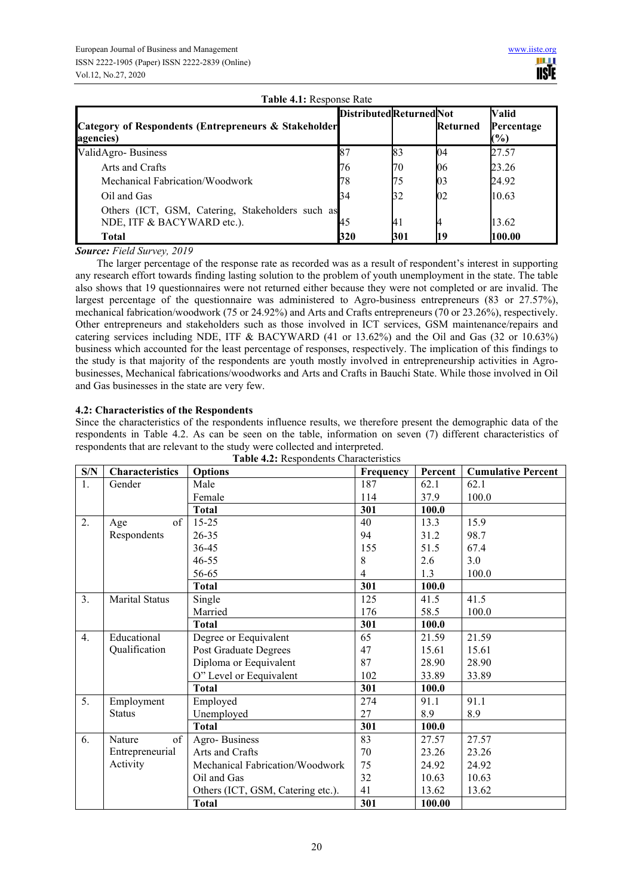| Category of Respondents (Entrepreneurs & Stakeholder<br>agencies)              | <b>DistributedReturnedNot</b> |     | Returned | Valid<br>Percentage<br>$\mathcal{O}(6)$ |
|--------------------------------------------------------------------------------|-------------------------------|-----|----------|-----------------------------------------|
| ValidAgro-Business                                                             |                               | 83  | 04       | 27.57                                   |
| Arts and Crafts                                                                | 76                            | 70  | 06       | 23.26                                   |
| Mechanical Fabrication/Woodwork                                                | 78                            | 75  | 03       | 24.92                                   |
| Oil and Gas                                                                    | 34                            | 32  | 02       | 10.63                                   |
| Others (ICT, GSM, Catering, Stakeholders such as<br>NDE, ITF & BACYWARD etc.). | 45                            | 41  |          | 13.62                                   |
| Total                                                                          | 320                           | 301 |          | 100.00                                  |

**Table 4.1:** Response Rate

*Source: Field Survey, 2019* 

The larger percentage of the response rate as recorded was as a result of respondent's interest in supporting any research effort towards finding lasting solution to the problem of youth unemployment in the state. The table also shows that 19 questionnaires were not returned either because they were not completed or are invalid. The largest percentage of the questionnaire was administered to Agro-business entrepreneurs (83 or 27.57%), mechanical fabrication/woodwork (75 or 24.92%) and Arts and Crafts entrepreneurs (70 or 23.26%), respectively. Other entrepreneurs and stakeholders such as those involved in ICT services, GSM maintenance/repairs and catering services including NDE, ITF & BACYWARD (41 or 13.62%) and the Oil and Gas (32 or 10.63%) business which accounted for the least percentage of responses, respectively. The implication of this findings to the study is that majority of the respondents are youth mostly involved in entrepreneurship activities in Agrobusinesses, Mechanical fabrications/woodworks and Arts and Crafts in Bauchi State. While those involved in Oil and Gas businesses in the state are very few.

# **4.2: Characteristics of the Respondents**

Since the characteristics of the respondents influence results, we therefore present the demographic data of the respondents in Table 4.2. As can be seen on the table, information on seven (7) different characteristics of respondents that are relevant to the study were collected and interpreted.

| S/N | <b>Characteristics</b> | <b>Options</b>                    | Frequency | Percent | <b>Cumulative Percent</b> |
|-----|------------------------|-----------------------------------|-----------|---------|---------------------------|
| 1.  | Gender                 | Male                              | 187       | 62.1    | 62.1                      |
|     |                        | Female                            | 114       | 37.9    | 100.0                     |
|     |                        | <b>Total</b>                      | 301       | 100.0   |                           |
| 2.  | of<br>Age              | $15 - 25$                         | 40        | 13.3    | 15.9                      |
|     | Respondents            | $26 - 35$                         | 94        | 31.2    | 98.7                      |
|     |                        | 36-45                             | 155       | 51.5    | 67.4                      |
|     |                        | $46 - 55$                         | 8         | 2.6     | 3.0                       |
|     |                        | 56-65                             | 4         | 1.3     | 100.0                     |
|     |                        | <b>Total</b>                      | 301       | 100.0   |                           |
| 3.  | <b>Marital Status</b>  | Single                            | 125       | 41.5    | 41.5                      |
|     |                        | Married                           | 176       | 58.5    | 100.0                     |
|     |                        | <b>Total</b>                      | 301       | 100.0   |                           |
| 4.  | Educational            | Degree or Eequivalent             | 65        | 21.59   | 21.59                     |
|     | Qualification          | Post Graduate Degrees             | 47        | 15.61   | 15.61                     |
|     |                        | Diploma or Eequivalent            | 87        | 28.90   | 28.90                     |
|     |                        | O" Level or Eequivalent           | 102       | 33.89   | 33.89                     |
|     |                        | <b>Total</b>                      | 301       | 100.0   |                           |
| 5.  | Employment             | Employed                          | 274       | 91.1    | 91.1                      |
|     | <b>Status</b>          | Unemployed                        | 27        | 8.9     | 8.9                       |
|     |                        | <b>Total</b>                      | 301       | 100.0   |                           |
| 6.  | of<br>Nature           | Agro-Business                     | 83        | 27.57   | 27.57                     |
|     | Entrepreneurial        | Arts and Crafts                   | 70        | 23.26   | 23.26                     |
|     | Activity               | Mechanical Fabrication/Woodwork   | 75        | 24.92   | 24.92                     |
|     |                        | Oil and Gas                       | 32        | 10.63   | 10.63                     |
|     |                        | Others (ICT, GSM, Catering etc.). | 41        | 13.62   | 13.62                     |
|     |                        | <b>Total</b>                      | 301       | 100.00  |                           |

**Table 4.2:** Respondents Characteristics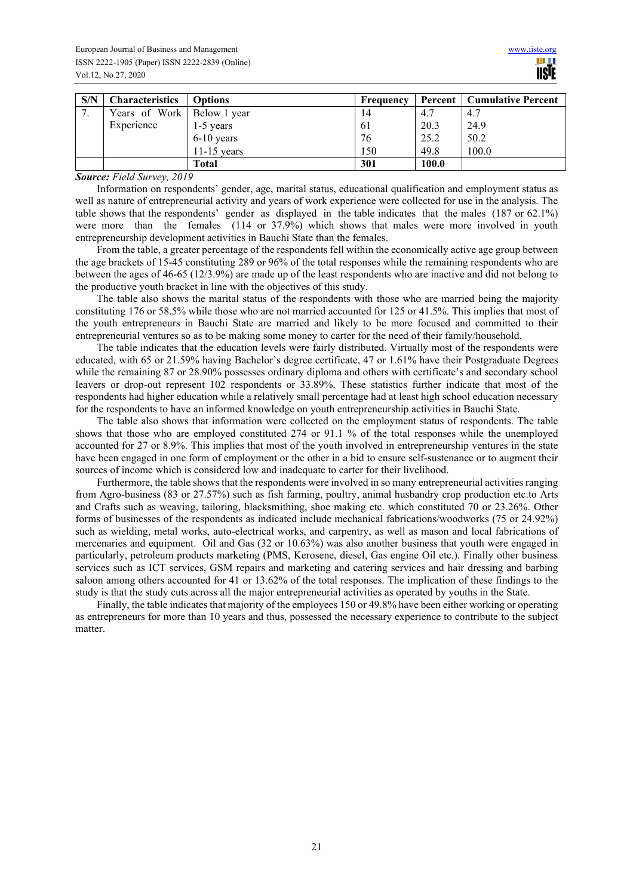| S/N      | <b>Characteristics</b>       | <b>Options</b> | Frequency |       | <b>Percent   Cumulative Percent</b> |
|----------|------------------------------|----------------|-----------|-------|-------------------------------------|
| ⇁<br>. . | Years of Work   Below 1 year |                | 14        | 4.7   | 4.7                                 |
|          | Experience                   | 1-5 years      | 61        | 20.3  | 24.9                                |
|          |                              | $6-10$ years   | 76        | 25.2  | 50.2                                |
|          |                              | $11-15$ years  | 150       | 49.8  | 100.0                               |
|          |                              | Total          | 301       | 100.0 |                                     |

#### *Source: Field Survey, 2019*

Information on respondents' gender, age, marital status, educational qualification and employment status as well as nature of entrepreneurial activity and years of work experience were collected for use in the analysis. The table shows that the respondents' gender as displayed in the table indicates that the males (187 or 62.1%) were more than the females (114 or 37.9%) which shows that males were more involved in youth entrepreneurship development activities in Bauchi State than the females.

From the table, a greater percentage of the respondents fell within the economically active age group between the age brackets of 15-45 constituting 289 or 96% of the total responses while the remaining respondents who are between the ages of 46-65 (12/3.9%) are made up of the least respondents who are inactive and did not belong to the productive youth bracket in line with the objectives of this study.

The table also shows the marital status of the respondents with those who are married being the majority constituting 176 or 58.5% while those who are not married accounted for 125 or 41.5%. This implies that most of the youth entrepreneurs in Bauchi State are married and likely to be more focused and committed to their entrepreneurial ventures so as to be making some money to carter for the need of their family/household.

The table indicates that the education levels were fairly distributed. Virtually most of the respondents were educated, with 65 or 21.59% having Bachelor's degree certificate, 47 or 1.61% have their Postgraduate Degrees while the remaining 87 or 28.90% possesses ordinary diploma and others with certificate's and secondary school leavers or drop-out represent 102 respondents or 33.89%. These statistics further indicate that most of the respondents had higher education while a relatively small percentage had at least high school education necessary for the respondents to have an informed knowledge on youth entrepreneurship activities in Bauchi State.

The table also shows that information were collected on the employment status of respondents. The table shows that those who are employed constituted 274 or 91.1 % of the total responses while the unemployed accounted for 27 or 8.9%. This implies that most of the youth involved in entrepreneurship ventures in the state have been engaged in one form of employment or the other in a bid to ensure self-sustenance or to augment their sources of income which is considered low and inadequate to carter for their livelihood.

Furthermore, the table shows that the respondents were involved in so many entrepreneurial activities ranging from Agro-business (83 or 27.57%) such as fish farming, poultry, animal husbandry crop production etc.to Arts and Crafts such as weaving, tailoring, blacksmithing, shoe making etc. which constituted 70 or 23.26%. Other forms of businesses of the respondents as indicated include mechanical fabrications/woodworks (75 or 24.92%) such as wielding, metal works, auto-electrical works, and carpentry, as well as mason and local fabrications of mercenaries and equipment. Oil and Gas (32 or 10.63%) was also another business that youth were engaged in particularly, petroleum products marketing (PMS, Kerosene, diesel, Gas engine Oil etc.). Finally other business services such as ICT services, GSM repairs and marketing and catering services and hair dressing and barbing saloon among others accounted for 41 or 13.62% of the total responses. The implication of these findings to the study is that the study cuts across all the major entrepreneurial activities as operated by youths in the State.

Finally, the table indicates that majority of the employees 150 or 49.8% have been either working or operating as entrepreneurs for more than 10 years and thus, possessed the necessary experience to contribute to the subject matter.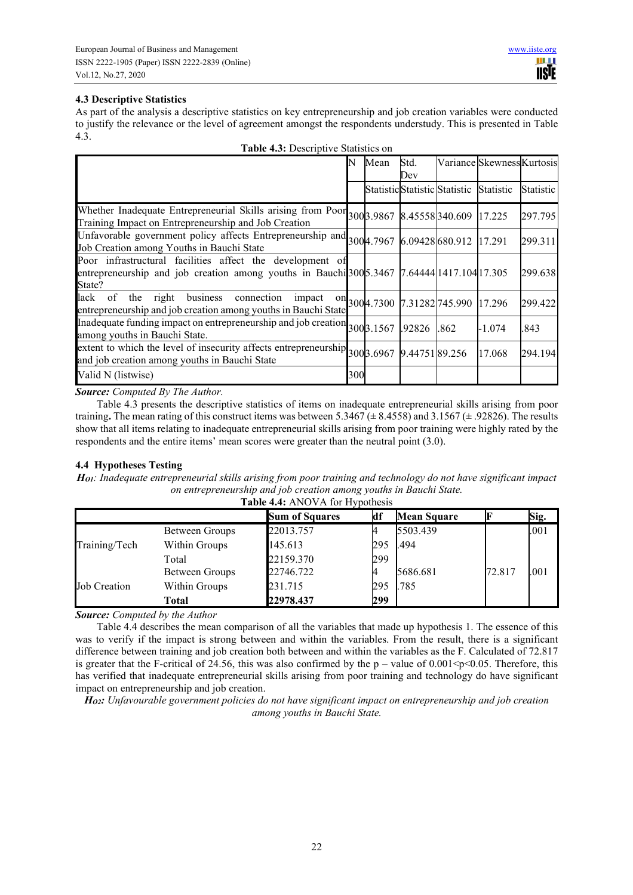# **4.3 Descriptive Statistics**

As part of the analysis a descriptive statistics on key entrepreneurship and job creation variables were conducted to justify the relevance or the level of agreement amongst the respondents understudy. This is presented in Table 4.3.

| <b>Table 4.3:</b> Descriptive Statistics on                                                                                                                                                 |      |  |             |                                      |                            |           |
|---------------------------------------------------------------------------------------------------------------------------------------------------------------------------------------------|------|--|-------------|--------------------------------------|----------------------------|-----------|
|                                                                                                                                                                                             | Mean |  | Std.<br>Dev |                                      | Variance Skewness Kurtosis |           |
|                                                                                                                                                                                             |      |  |             | Statistic Statistic Statistic        | Statistic                  | Statistic |
| Whether Inadequate Entrepreneurial Skills arising from Poor 300 3.9867 8.45558 340.609 17.225<br>Training Impact on Entrepreneurship and Job Creation                                       |      |  |             |                                      |                            | 297.795   |
| Unfavorable government policy affects Entrepreneurship and 3004.7967<br>Job Creation among Youths in Bauchi State                                                                           |      |  |             | 6.09428 680.912 17.291               |                            | 299.311   |
| Poor infrastructural facilities affect the development of<br>entrepreneurship and job creation among youths in Bauchi <sup>300</sup> 5.3467 7.64444 $\left[1417.104\right]17.305$<br>State? |      |  |             |                                      |                            | 299.638   |
| the right business<br>of<br>lack<br>connection<br>impact<br>entrepreneurship and job creation among youths in Bauchi State                                                                  |      |  |             | 01 300 4.7300 7.31282 745.990 17.296 |                            | 299.422   |
| Inadequate funding impact on entrepreneurship and job creation 300 3.1567<br>among youths in Bauchi State.                                                                                  |      |  | .92826      | .862                                 | -1.074                     | .843      |
| extent to which the level of insecurity affects entrepreneurship $300\frac{3.6967}{9.44751}$ 89.256<br>and job creation among youths in Bauchi State                                        |      |  |             |                                      | 17.068                     | 294.194   |
| Valid N (listwise)                                                                                                                                                                          | 300  |  |             |                                      |                            |           |

*Source: Computed By The Author.* 

Table 4.3 presents the descriptive statistics of items on inadequate entrepreneurial skills arising from poor training**.** The mean rating of this construct items was between 5.3467 (± 8.4558) and 3.1567 (± .92826). The results show that all items relating to inadequate entrepreneurial skills arising from poor training were highly rated by the respondents and the entire items' mean scores were greater than the neutral point (3.0).

# **4.4 Hypotheses Testing**

*HO1: Inadequate entrepreneurial skills arising from poor training and technology do not have significant impact on entrepreneurship and job creation among youths in Bauchi State.* 

| Table 4.4: ANOVA for Hypothesis |                |                       |     |                    |        |      |  |  |  |
|---------------------------------|----------------|-----------------------|-----|--------------------|--------|------|--|--|--|
|                                 |                | <b>Sum of Squares</b> | ΚUΙ | <b>Mean Square</b> |        | Sig. |  |  |  |
|                                 | Between Groups | 22013.757             |     | 5503.439           |        | .001 |  |  |  |
| Training/Tech                   | Within Groups  | 145.613               | 295 | .494               |        |      |  |  |  |
|                                 | Total          | 22159.370             | 299 |                    |        |      |  |  |  |
|                                 | Between Groups | 22746.722             |     | 5686.681           | 72.817 | .001 |  |  |  |
| <b>Job Creation</b>             | Within Groups  | 231.715               | 295 | .785               |        |      |  |  |  |
|                                 | Total          | 22978.437             | 299 |                    |        |      |  |  |  |

*Source: Computed by the Author* 

Table 4.4 describes the mean comparison of all the variables that made up hypothesis 1. The essence of this was to verify if the impact is strong between and within the variables. From the result, there is a significant difference between training and job creation both between and within the variables as the F. Calculated of 72.817 is greater that the F-critical of 24.56, this was also confirmed by the  $p -$ value of 0.001<p<0.05. Therefore, this has verified that inadequate entrepreneurial skills arising from poor training and technology do have significant impact on entrepreneurship and job creation.

*HO2: Unfavourable government policies do not have significant impact on entrepreneurship and job creation among youths in Bauchi State.*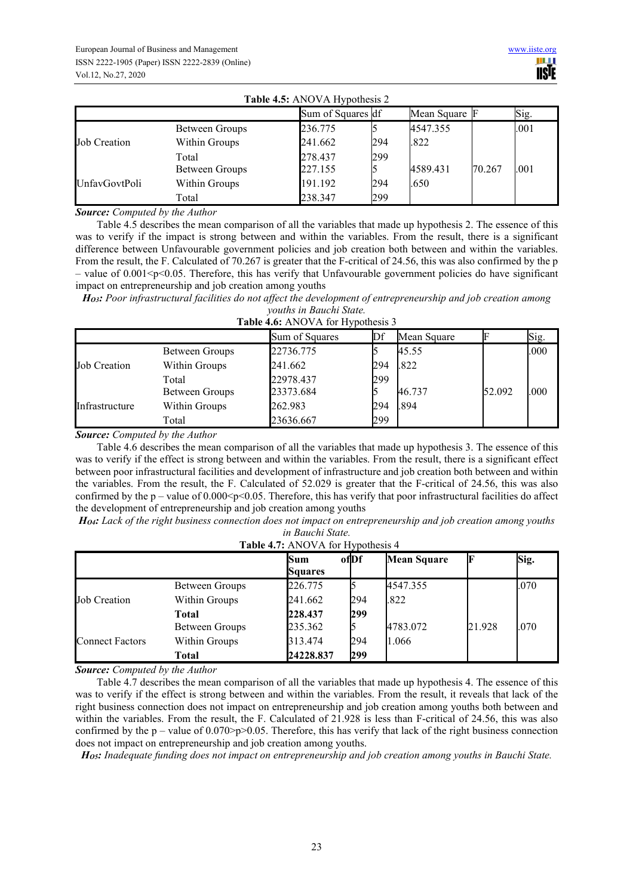| <b>Table 4.5:</b> ANOVA Hypothesis 2 |                |                   |     |               |        |      |  |  |  |
|--------------------------------------|----------------|-------------------|-----|---------------|--------|------|--|--|--|
|                                      |                | Sum of Squares df |     | Mean Square F |        | Sig. |  |  |  |
|                                      | Between Groups | 236.775           |     | 4547.355      |        | .001 |  |  |  |
| <b>Job Creation</b>                  | Within Groups  | 241.662           | 294 | .822          |        |      |  |  |  |
|                                      | Total          | 278.437           | 299 |               |        |      |  |  |  |
|                                      | Between Groups | 227.155           |     | 4589.431      | 70.267 | .001 |  |  |  |
| <b>UnfayGovtPoli</b>                 | Within Groups  | 191.192           | 294 | .650          |        |      |  |  |  |
|                                      | Total          | 238.347           | 299 |               |        |      |  |  |  |

*Source: Computed by the Author* 

Table 4.5 describes the mean comparison of all the variables that made up hypothesis 2. The essence of this was to verify if the impact is strong between and within the variables. From the result, there is a significant difference between Unfavourable government policies and job creation both between and within the variables. From the result, the F. Calculated of 70.267 is greater that the F-critical of 24.56, this was also confirmed by the p – value of  $0.001$  <p $0.05$ . Therefore, this has verify that Unfavourable government policies do have significant impact on entrepreneurship and job creation among youths

*HO3: Poor infrastructural facilities do not affect the development of entrepreneurship and job creation among youths in Bauchi State.*

| <i>youths in Duucht State.</i>    |  |
|-----------------------------------|--|
| Table 4.6: ANOVA for Hypothesis 3 |  |

|                     |                | Sum of Squares |     | Mean Square |        | Sig. |
|---------------------|----------------|----------------|-----|-------------|--------|------|
|                     | Between Groups | 22736.775      |     | 45.55       |        | .000 |
| <b>Job Creation</b> | Within Groups  | 241.662        | 294 | .822        |        |      |
|                     | Total          | 22978.437      | 299 |             |        |      |
|                     | Between Groups | 23373.684      |     | 46.737      | 52.092 | .000 |
| Infrastructure      | Within Groups  | 262.983        | 294 | .894        |        |      |
|                     | Total          | 23636.667      | 299 |             |        |      |

*Source: Computed by the Author* 

Table 4.6 describes the mean comparison of all the variables that made up hypothesis 3. The essence of this was to verify if the effect is strong between and within the variables. From the result, there is a significant effect between poor infrastructural facilities and development of infrastructure and job creation both between and within the variables. From the result, the F. Calculated of 52.029 is greater that the F-critical of 24.56, this was also confirmed by the  $p -$  value of 0.000 $\leq p \leq 0.05$ . Therefore, this has verify that poor infrastructural facilities do affect the development of entrepreneurship and job creation among youths

*HO4: Lack of the right business connection does not impact on entrepreneurship and job creation among youths in Bauchi State.*

**Table 4.7:** ANOVA for Hypothesis 4

|                        |                | Sum<br><b>Squares</b> | ofDf | <b>Mean Square</b> |        | Sig. |
|------------------------|----------------|-----------------------|------|--------------------|--------|------|
|                        | Between Groups | 226.775               |      | 4547.355           |        | .070 |
| Job Creation           | Within Groups  | 241.662               | 294  | .822               |        |      |
|                        | Total          | 228.437               | 299  |                    |        |      |
|                        | Between Groups | 235.362               |      | 4783.072           | 21.928 | .070 |
| <b>Connect Factors</b> | Within Groups  | 313.474               | 294  | 1.066              |        |      |
|                        | Total          | 24228.837             | 299  |                    |        |      |

*Source: Computed by the Author* 

Table 4.7 describes the mean comparison of all the variables that made up hypothesis 4. The essence of this was to verify if the effect is strong between and within the variables. From the result, it reveals that lack of the right business connection does not impact on entrepreneurship and job creation among youths both between and within the variables. From the result, the F. Calculated of 21.928 is less than F-critical of 24.56, this was also confirmed by the  $p$  – value of 0.070>p>0.05. Therefore, this has verify that lack of the right business connection does not impact on entrepreneurship and job creation among youths.

*HO5: Inadequate funding does not impact on entrepreneurship and job creation among youths in Bauchi State.*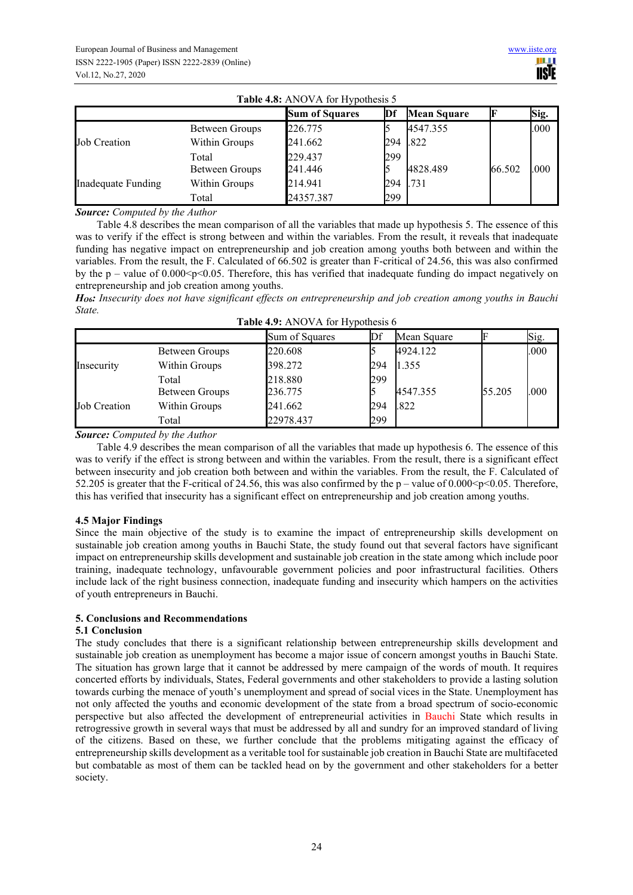|                     |                | <b>Sum of Squares</b> | Df  | <b>Mean Square</b> |        | Sig. |
|---------------------|----------------|-----------------------|-----|--------------------|--------|------|
|                     | Between Groups | 226.775               |     | 4547.355           |        | .000 |
| <b>Job Creation</b> | Within Groups  | 241.662               | 294 | .822               |        |      |
|                     | Total          | 229.437               | 299 |                    |        |      |
|                     | Between Groups | 241.446               |     | 4828.489           | 66.502 | .000 |
| Inadequate Funding  | Within Groups  | 214.941               | 294 | .731               |        |      |
|                     | Total          | 24357.387             | 299 |                    |        |      |

Table 4.8: ANOVA for H

*Source: Computed by the Author* 

Table 4.8 describes the mean comparison of all the variables that made up hypothesis 5. The essence of this was to verify if the effect is strong between and within the variables. From the result, it reveals that inadequate funding has negative impact on entrepreneurship and job creation among youths both between and within the variables. From the result, the F. Calculated of 66.502 is greater than F-critical of 24.56, this was also confirmed by the  $p -$  value of 0.000 $\leq p \leq 0.05$ . Therefore, this has verified that inadequate funding do impact negatively on entrepreneurship and job creation among youths.

*HO6: Insecurity does not have significant effects on entrepreneurship and job creation among youths in Bauchi State.*

|                     |                       | Sum of Squares |     | Mean Square |        | Sig. |
|---------------------|-----------------------|----------------|-----|-------------|--------|------|
|                     | Between Groups        | 220.608        |     | 4924.122    |        | .000 |
| Insecurity          | Within Groups         | 398.272        | 294 | 1.355       |        |      |
|                     | Total                 | 218.880        | 299 |             |        |      |
|                     | <b>Between Groups</b> | 236.775        |     | 4547.355    | 55.205 | .000 |
| <b>Job Creation</b> | Within Groups         | 241.662        | 294 | .822        |        |      |
|                     | Total                 | 22978.437      | 299 |             |        |      |

*Source: Computed by the Author* 

Table 4.9 describes the mean comparison of all the variables that made up hypothesis 6. The essence of this was to verify if the effect is strong between and within the variables. From the result, there is a significant effect between insecurity and job creation both between and within the variables. From the result, the F. Calculated of 52.205 is greater that the F-critical of 24.56, this was also confirmed by the  $p$  – value of 0.000 < p < 0.05. Therefore, this has verified that insecurity has a significant effect on entrepreneurship and job creation among youths.

# **4.5 Major Findings**

Since the main objective of the study is to examine the impact of entrepreneurship skills development on sustainable job creation among youths in Bauchi State, the study found out that several factors have significant impact on entrepreneurship skills development and sustainable job creation in the state among which include poor training, inadequate technology, unfavourable government policies and poor infrastructural facilities. Others include lack of the right business connection, inadequate funding and insecurity which hampers on the activities of youth entrepreneurs in Bauchi.

# **5. Conclusions and Recommendations**

# **5.1 Conclusion**

The study concludes that there is a significant relationship between entrepreneurship skills development and sustainable job creation as unemployment has become a major issue of concern amongst youths in Bauchi State. The situation has grown large that it cannot be addressed by mere campaign of the words of mouth. It requires concerted efforts by individuals, States, Federal governments and other stakeholders to provide a lasting solution towards curbing the menace of youth's unemployment and spread of social vices in the State. Unemployment has not only affected the youths and economic development of the state from a broad spectrum of socio-economic perspective but also affected the development of entrepreneurial activities in Bauchi State which results in retrogressive growth in several ways that must be addressed by all and sundry for an improved standard of living of the citizens. Based on these, we further conclude that the problems mitigating against the efficacy of entrepreneurship skills development as a veritable tool for sustainable job creation in Bauchi State are multifaceted but combatable as most of them can be tackled head on by the government and other stakeholders for a better society.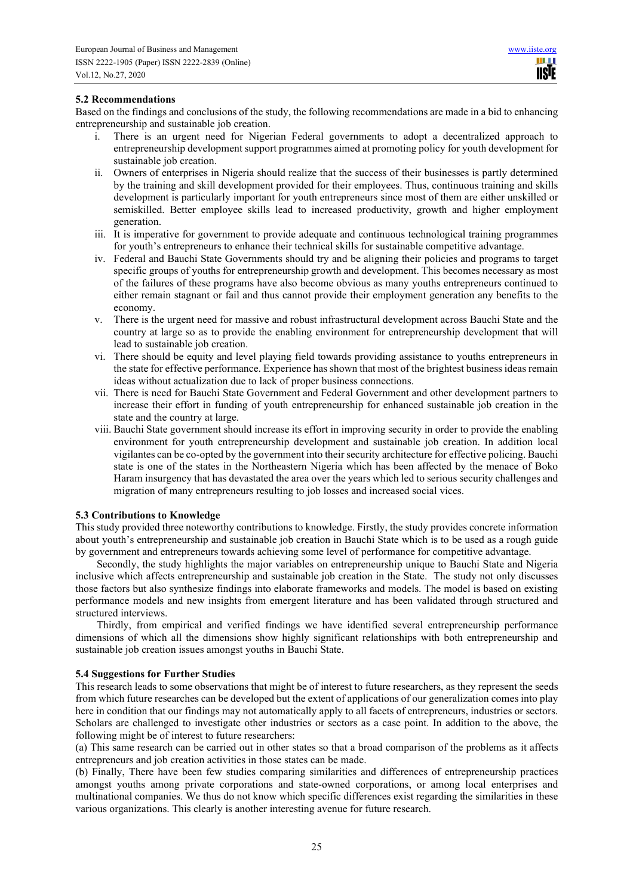# **5.2 Recommendations**

Based on the findings and conclusions of the study, the following recommendations are made in a bid to enhancing entrepreneurship and sustainable job creation.

- There is an urgent need for Nigerian Federal governments to adopt a decentralized approach to entrepreneurship development support programmes aimed at promoting policy for youth development for sustainable job creation.
- ii. Owners of enterprises in Nigeria should realize that the success of their businesses is partly determined by the training and skill development provided for their employees. Thus, continuous training and skills development is particularly important for youth entrepreneurs since most of them are either unskilled or semiskilled. Better employee skills lead to increased productivity, growth and higher employment generation.
- iii. It is imperative for government to provide adequate and continuous technological training programmes for youth's entrepreneurs to enhance their technical skills for sustainable competitive advantage.
- iv. Federal and Bauchi State Governments should try and be aligning their policies and programs to target specific groups of youths for entrepreneurship growth and development. This becomes necessary as most of the failures of these programs have also become obvious as many youths entrepreneurs continued to either remain stagnant or fail and thus cannot provide their employment generation any benefits to the economy.
- v. There is the urgent need for massive and robust infrastructural development across Bauchi State and the country at large so as to provide the enabling environment for entrepreneurship development that will lead to sustainable job creation.
- vi. There should be equity and level playing field towards providing assistance to youths entrepreneurs in the state for effective performance. Experience has shown that most of the brightest business ideas remain ideas without actualization due to lack of proper business connections.
- vii. There is need for Bauchi State Government and Federal Government and other development partners to increase their effort in funding of youth entrepreneurship for enhanced sustainable job creation in the state and the country at large.
- viii. Bauchi State government should increase its effort in improving security in order to provide the enabling environment for youth entrepreneurship development and sustainable job creation. In addition local vigilantes can be co-opted by the government into their security architecture for effective policing. Bauchi state is one of the states in the Northeastern Nigeria which has been affected by the menace of Boko Haram insurgency that has devastated the area over the years which led to serious security challenges and migration of many entrepreneurs resulting to job losses and increased social vices.

#### **5.3 Contributions to Knowledge**

This study provided three noteworthy contributions to knowledge. Firstly, the study provides concrete information about youth's entrepreneurship and sustainable job creation in Bauchi State which is to be used as a rough guide by government and entrepreneurs towards achieving some level of performance for competitive advantage.

Secondly, the study highlights the major variables on entrepreneurship unique to Bauchi State and Nigeria inclusive which affects entrepreneurship and sustainable job creation in the State. The study not only discusses those factors but also synthesize findings into elaborate frameworks and models. The model is based on existing performance models and new insights from emergent literature and has been validated through structured and structured interviews.

Thirdly, from empirical and verified findings we have identified several entrepreneurship performance dimensions of which all the dimensions show highly significant relationships with both entrepreneurship and sustainable job creation issues amongst youths in Bauchi State.

#### **5.4 Suggestions for Further Studies**

This research leads to some observations that might be of interest to future researchers, as they represent the seeds from which future researches can be developed but the extent of applications of our generalization comes into play here in condition that our findings may not automatically apply to all facets of entrepreneurs, industries or sectors. Scholars are challenged to investigate other industries or sectors as a case point. In addition to the above, the following might be of interest to future researchers:

(a) This same research can be carried out in other states so that a broad comparison of the problems as it affects entrepreneurs and job creation activities in those states can be made.

(b) Finally, There have been few studies comparing similarities and differences of entrepreneurship practices amongst youths among private corporations and state-owned corporations, or among local enterprises and multinational companies. We thus do not know which specific differences exist regarding the similarities in these various organizations. This clearly is another interesting avenue for future research.